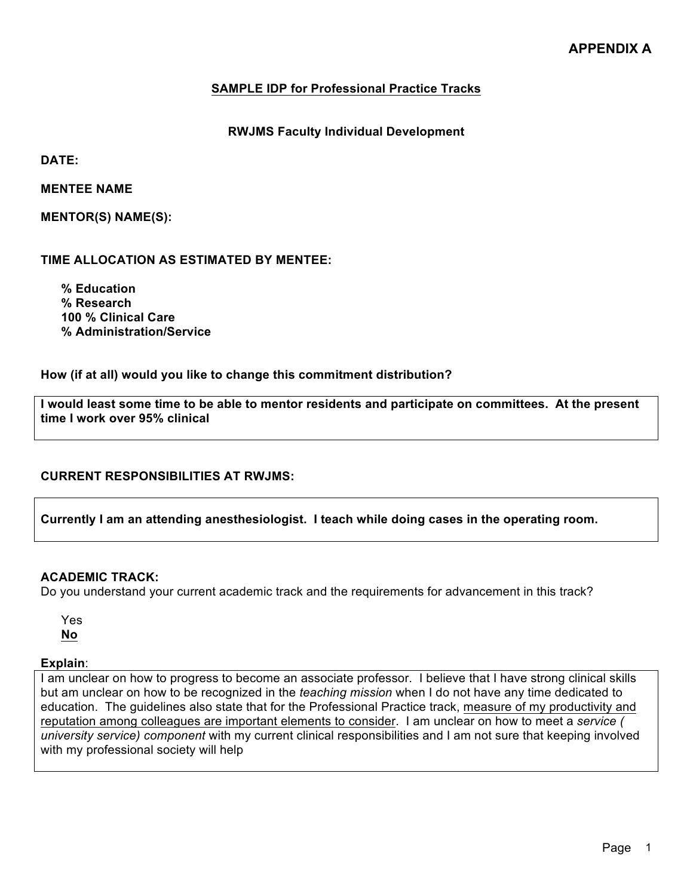## **SAMPLE IDP for Professional Practice Tracks**

**RWJMS Faculty Individual Development** 

**DATE:**

**MENTEE NAME**

**MENTOR(S) NAME(S):**

**TIME ALLOCATION AS ESTIMATED BY MENTEE:**

**% Education % Research 100 % Clinical Care % Administration/Service**

**How (if at all) would you like to change this commitment distribution?** 

**I would least some time to be able to mentor residents and participate on committees. At the present time I work over 95% clinical**

### **CURRENT RESPONSIBILITIES AT RWJMS:**

**Currently I am an attending anesthesiologist. I teach while doing cases in the operating room.**

#### **ACADEMIC TRACK:**

Do you understand your current academic track and the requirements for advancement in this track?

Yes **No**

#### **Explain**:

I am unclear on how to progress to become an associate professor. I believe that I have strong clinical skills but am unclear on how to be recognized in the *teaching mission* when I do not have any time dedicated to education. The guidelines also state that for the Professional Practice track, measure of my productivity and reputation among colleagues are important elements to consider. I am unclear on how to meet a *service ( university service) component* with my current clinical responsibilities and I am not sure that keeping involved with my professional society will help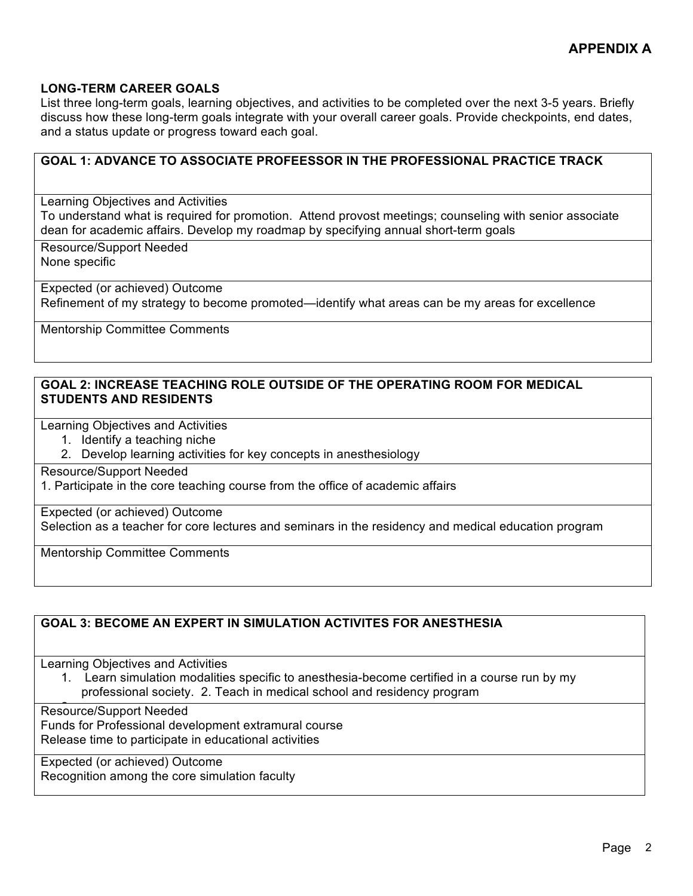### **LONG-TERM CAREER GOALS**

List three long-term goals, learning objectives, and activities to be completed over the next 3-5 years. Briefly discuss how these long-term goals integrate with your overall career goals. Provide checkpoints, end dates, and a status update or progress toward each goal.

# **GOAL 1: ADVANCE TO ASSOCIATE PROFEESSOR IN THE PROFESSIONAL PRACTICE TRACK** Learning Objectives and Activities To understand what is required for promotion. Attend provost meetings; counseling with senior associate dean for academic affairs. Develop my roadmap by specifying annual short-term goals Resource/Support Needed None specific

Expected (or achieved) Outcome Refinement of my strategy to become promoted—identify what areas can be my areas for excellence

Mentorship Committee Comments

#### **GOAL 2: INCREASE TEACHING ROLE OUTSIDE OF THE OPERATING ROOM FOR MEDICAL STUDENTS AND RESIDENTS**

Learning Objectives and Activities

- 1. Identify a teaching niche
- 2. Develop learning activities for key concepts in anesthesiology

Resource/Support Needed

1. Participate in the core teaching course from the office of academic affairs

Expected (or achieved) Outcome

Selection as a teacher for core lectures and seminars in the residency and medical education program

Mentorship Committee Comments

### **GOAL 3: BECOME AN EXPERT IN SIMULATION ACTIVITES FOR ANESTHESIA**

Learning Objectives and Activities

1. Learn simulation modalities specific to anesthesia-become certified in a course run by my professional society. 2. Teach in medical school and residency program

Resource/Support Needed Funds for Professional development extramural course Release time to participate in educational activities

Expected (or achieved) Outcome Recognition among the core simulation faculty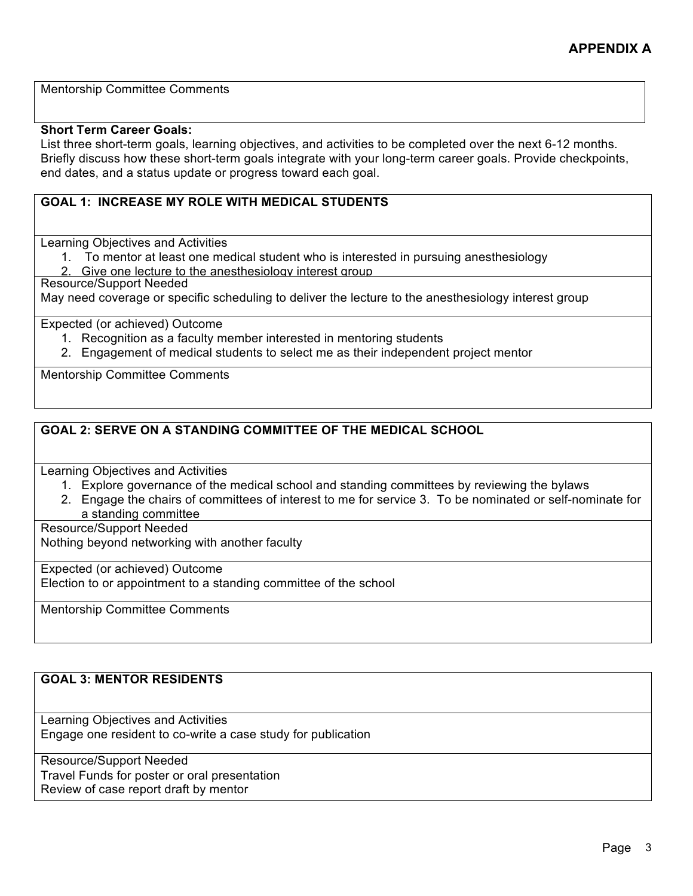Mentorship Committee Comments

#### **Short Term Career Goals:**

List three short-term goals, learning objectives, and activities to be completed over the next 6-12 months. Briefly discuss how these short-term goals integrate with your long-term career goals. Provide checkpoints, end dates, and a status update or progress toward each goal.

## **GOAL 1: INCREASE MY ROLE WITH MEDICAL STUDENTS**

Learning Objectives and Activities

1. To mentor at least one medical student who is interested in pursuing anesthesiology

Give one lecture to the anesthesiology interest group

Resource/Support Needed

May need coverage or specific scheduling to deliver the lecture to the anesthesiology interest group

Expected (or achieved) Outcome

- 1. Recognition as a faculty member interested in mentoring students
- 2. Engagement of medical students to select me as their independent project mentor

Mentorship Committee Comments

## **GOAL 2: SERVE ON A STANDING COMMITTEE OF THE MEDICAL SCHOOL**

Learning Objectives and Activities

- 1. Explore governance of the medical school and standing committees by reviewing the bylaws
- 2. Engage the chairs of committees of interest to me for service 3. To be nominated or self-nominate for a standing committee

Resource/Support Needed

Nothing beyond networking with another faculty

Expected (or achieved) Outcome Election to or appointment to a standing committee of the school

Mentorship Committee Comments

# **GOAL 3: MENTOR RESIDENTS**

Learning Objectives and Activities Engage one resident to co-write a case study for publication

Resource/Support Needed Travel Funds for poster or oral presentation Review of case report draft by mentor